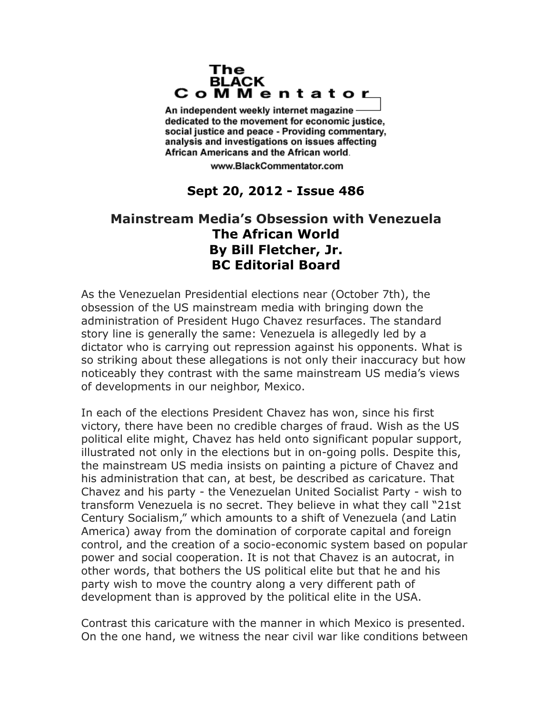## The **BLACK** CoMMentator

An independent weekly internet magazine dedicated to the movement for economic justice. social justice and peace - Providing commentary, analysis and investigations on issues affecting African Americans and the African world.

www.BlackCommentator.com

## **Sept 20, 2012 - Issue 486**

## **Mainstream Media's Obsession with Venezuela The African World By Bill Fletcher, Jr. BC Editorial Board**

As the Venezuelan Presidential elections near (October 7th), the obsession of the US mainstream media with bringing down the administration of President Hugo Chavez resurfaces. The standard story line is generally the same: Venezuela is allegedly led by a dictator who is carrying out repression against his opponents. What is so striking about these allegations is not only their inaccuracy but how noticeably they contrast with the same mainstream US media's views of developments in our neighbor, Mexico.

In each of the elections President Chavez has won, since his first victory, there have been no credible charges of fraud. Wish as the US political elite might, Chavez has held onto significant popular support, illustrated not only in the elections but in on-going polls. Despite this, the mainstream US media insists on painting a picture of Chavez and his administration that can, at best, be described as caricature. That Chavez and his party - the Venezuelan United Socialist Party - wish to transform Venezuela is no secret. They believe in what they call "21st Century Socialism," which amounts to a shift of Venezuela (and Latin America) away from the domination of corporate capital and foreign control, and the creation of a socio-economic system based on popular power and social cooperation. It is not that Chavez is an autocrat, in other words, that bothers the US political elite but that he and his party wish to move the country along a very different path of development than is approved by the political elite in the USA.

Contrast this caricature with the manner in which Mexico is presented. On the one hand, we witness the near civil war like conditions between